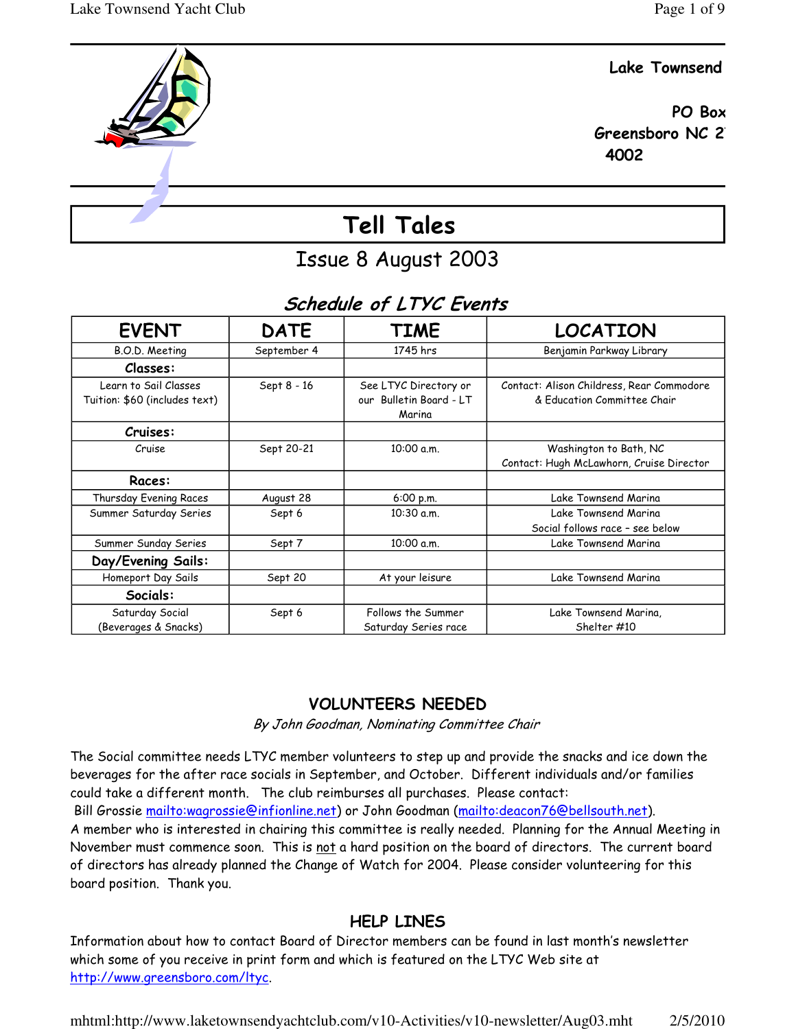### Lake Townsend



# Tell Tales

# Issue 8 August 2003

# Schedule of LTYC Events

| <b>EVENT</b>                                           | <b>DATE</b> | <b>TIME</b>                                                | <b>LOCATION</b>                                                          |
|--------------------------------------------------------|-------------|------------------------------------------------------------|--------------------------------------------------------------------------|
| B.O.D. Meeting                                         | September 4 | 1745 hrs                                                   | Benjamin Parkway Library                                                 |
| Classes:                                               |             |                                                            |                                                                          |
| Learn to Sail Classes<br>Tuition: \$60 (includes text) | Sept 8 - 16 | See LTYC Directory or<br>our Bulletin Board - LT<br>Marina | Contact: Alison Childress, Rear Commodore<br>& Education Committee Chair |
| Cruises:                                               |             |                                                            |                                                                          |
| Cruise                                                 | Sept 20-21  | 10:00 a.m.                                                 | Washington to Bath, NC<br>Contact: Hugh McLawhorn, Cruise Director       |
| Races:                                                 |             |                                                            |                                                                          |
| Thursday Evening Races                                 | August 28   | 6:00 p.m.                                                  | Lake Townsend Marina                                                     |
| Summer Saturday Series                                 | Sept 6      | 10:30 a.m.                                                 | Lake Townsend Marina<br>Social follows race - see below                  |
| Summer Sunday Series                                   | Sept 7      | 10:00 a.m.                                                 | Lake Townsend Marina                                                     |
| Day/Evening Sails:                                     |             |                                                            |                                                                          |
| Homeport Day Sails                                     | Sept 20     | At your leisure                                            | Lake Townsend Marina                                                     |
| Socials:                                               |             |                                                            |                                                                          |
| Saturday Social<br>(Beverages & Snacks)                | Sept 6      | Follows the Summer<br>Saturday Series race                 | Lake Townsend Marina,<br>Shelter #10                                     |

# VOLUNTEERS NEEDED

By John Goodman, Nominating Committee Chair

The Social committee needs LTYC member volunteers to step up and provide the snacks and ice down the beverages for the after race socials in September, and October. Different individuals and/or families could take a different month. The club reimburses all purchases. Please contact: Bill Grossie mailto:wagrossie@infionline.net) or John Goodman (mailto:deacon76@bellsouth.net). A member who is interested in chairing this committee is really needed. Planning for the Annual Meeting in

November must commence soon. This is not a hard position on the board of directors. The current board of directors has already planned the Change of Watch for 2004. Please consider volunteering for this board position. Thank you.

## HELP LINES

Information about how to contact Board of Director members can be found in last month's newsletter which some of you receive in print form and which is featured on the LTYC Web site at http://www.greensboro.com/ltyc.

mhtml:http://www.laketownsendyachtclub.com/v10-Activities/v10-newsletter/Aug03.mht 2/5/2010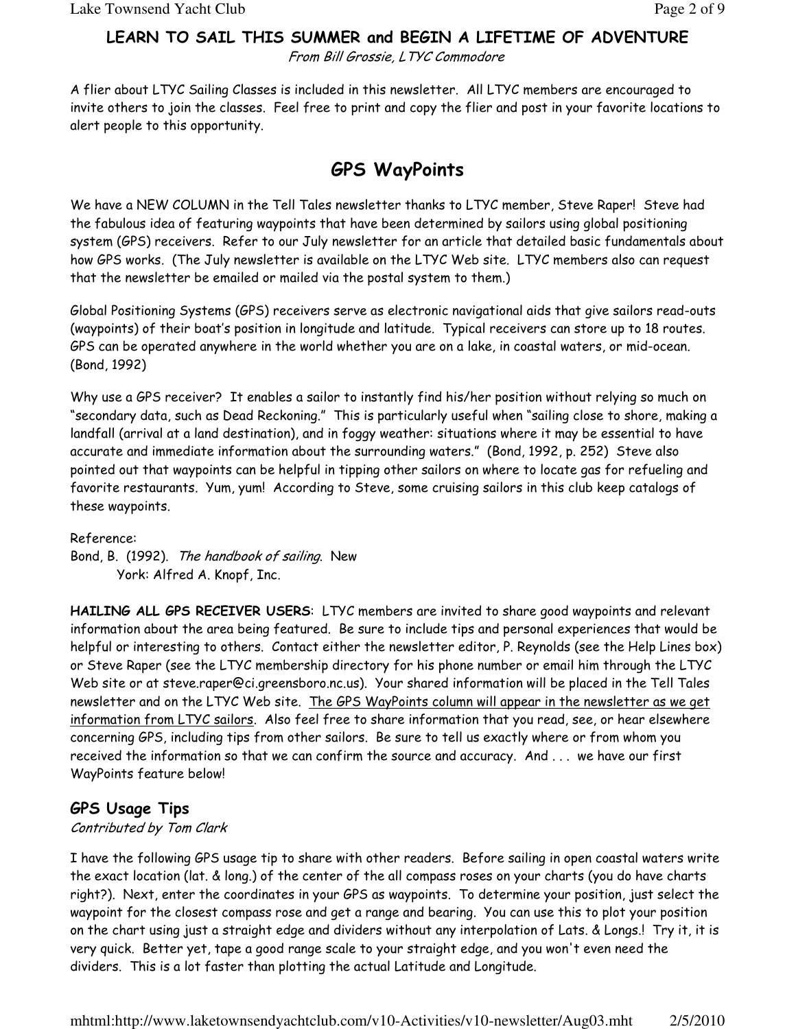# LEARN TO SAIL THIS SUMMER and BEGIN A LIFETIME OF ADVENTURE

From Bill Grossie, LTYC Commodore

A flier about LTYC Sailing Classes is included in this newsletter. All LTYC members are encouraged to invite others to join the classes. Feel free to print and copy the flier and post in your favorite locations to alert people to this opportunity.

# GPS WayPoints

We have a NEW COLUMN in the Tell Tales newsletter thanks to LTYC member, Steve Raper! Steve had the fabulous idea of featuring waypoints that have been determined by sailors using global positioning system (GPS) receivers. Refer to our July newsletter for an article that detailed basic fundamentals about how GPS works. (The July newsletter is available on the LTYC Web site. LTYC members also can request that the newsletter be emailed or mailed via the postal system to them.)

Global Positioning Systems (GPS) receivers serve as electronic navigational aids that give sailors read-outs (waypoints) of their boat's position in longitude and latitude. Typical receivers can store up to 18 routes. GPS can be operated anywhere in the world whether you are on a lake, in coastal waters, or mid-ocean. (Bond, 1992)

Why use a GPS receiver? It enables a sailor to instantly find his/her position without relying so much on "secondary data, such as Dead Reckoning." This is particularly useful when "sailing close to shore, making a landfall (arrival at a land destination), and in foggy weather: situations where it may be essential to have accurate and immediate information about the surrounding waters." (Bond, 1992, p. 252) Steve also pointed out that waypoints can be helpful in tipping other sailors on where to locate gas for refueling and favorite restaurants. Yum, yum! According to Steve, some cruising sailors in this club keep catalogs of these waypoints.

Reference:

Bond, B. (1992). The handbook of sailing. New York: Alfred A. Knopf, Inc.

HAILING ALL GPS RECEIVER USERS: LTYC members are invited to share good waypoints and relevant information about the area being featured. Be sure to include tips and personal experiences that would be helpful or interesting to others. Contact either the newsletter editor, P. Reynolds (see the Help Lines box) or Steve Raper (see the LTYC membership directory for his phone number or email him through the LTYC Web site or at steve.raper@ci.greensboro.nc.us). Your shared information will be placed in the Tell Tales newsletter and on the LTYC Web site. The GPS WayPoints column will appear in the newsletter as we get information from LTYC sailors. Also feel free to share information that you read, see, or hear elsewhere concerning GPS, including tips from other sailors. Be sure to tell us exactly where or from whom you received the information so that we can confirm the source and accuracy. And . . . we have our first WayPoints feature below!

## GPS Usage Tips

### Contributed by Tom Clark

I have the following GPS usage tip to share with other readers. Before sailing in open coastal waters write the exact location (lat. & long.) of the center of the all compass roses on your charts (you do have charts right?). Next, enter the coordinates in your GPS as waypoints. To determine your position, just select the waypoint for the closest compass rose and get a range and bearing. You can use this to plot your position on the chart using just a straight edge and dividers without any interpolation of Lats. & Longs.! Try it, it is very quick. Better yet, tape a good range scale to your straight edge, and you won't even need the dividers. This is a lot faster than plotting the actual Latitude and Longitude.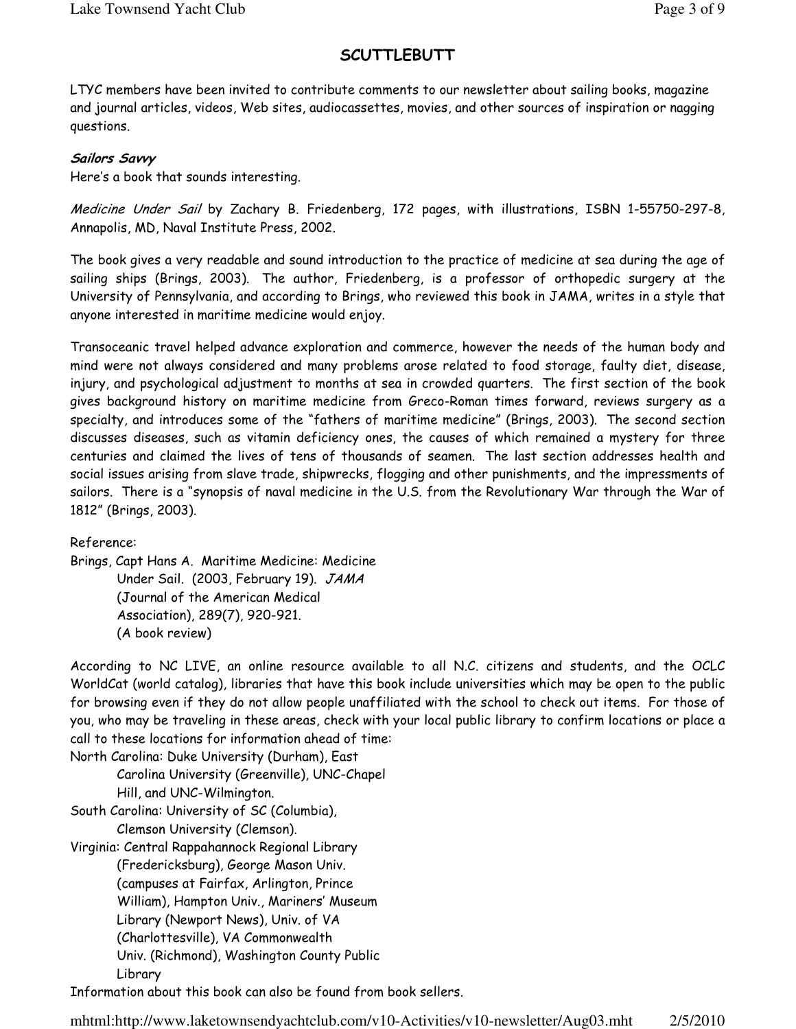## **SCUTTLEBUTT**

LTYC members have been invited to contribute comments to our newsletter about sailing books, magazine and journal articles, videos, Web sites, audiocassettes, movies, and other sources of inspiration or nagging questions.

### Sailors Savvy

Here's a book that sounds interesting.

Medicine Under Sail by Zachary B. Friedenberg, 172 pages, with illustrations, ISBN 1-55750-297-8, Annapolis, MD, Naval Institute Press, 2002.

The book gives a very readable and sound introduction to the practice of medicine at sea during the age of sailing ships (Brings, 2003). The author, Friedenberg, is a professor of orthopedic surgery at the University of Pennsylvania, and according to Brings, who reviewed this book in JAMA, writes in a style that anyone interested in maritime medicine would enjoy.

Transoceanic travel helped advance exploration and commerce, however the needs of the human body and mind were not always considered and many problems arose related to food storage, faulty diet, disease, injury, and psychological adjustment to months at sea in crowded quarters. The first section of the book gives background history on maritime medicine from Greco-Roman times forward, reviews surgery as a specialty, and introduces some of the "fathers of maritime medicine" (Brings, 2003). The second section discusses diseases, such as vitamin deficiency ones, the causes of which remained a mystery for three centuries and claimed the lives of tens of thousands of seamen. The last section addresses health and social issues arising from slave trade, shipwrecks, flogging and other punishments, and the impressments of sailors. There is a "synopsis of naval medicine in the U.S. from the Revolutionary War through the War of 1812" (Brings, 2003).

Reference:

Brings, Capt Hans A. Maritime Medicine: Medicine Under Sail. (2003, February 19). JAMA (Journal of the American Medical Association), 289(7), 920-921. (A book review)

According to NC LIVE, an online resource available to all N.C. citizens and students, and the OCLC WorldCat (world catalog), libraries that have this book include universities which may be open to the public for browsing even if they do not allow people unaffiliated with the school to check out items. For those of you, who may be traveling in these areas, check with your local public library to confirm locations or place a call to these locations for information ahead of time:

North Carolina: Duke University (Durham), East Carolina University (Greenville), UNC-Chapel Hill, and UNC-Wilmington.

South Carolina: University of SC (Columbia), Clemson University (Clemson).

Virginia: Central Rappahannock Regional Library

(Fredericksburg), George Mason Univ. (campuses at Fairfax, Arlington, Prince William), Hampton Univ., Mariners' Museum Library (Newport News), Univ. of VA (Charlottesville), VA Commonwealth Univ. (Richmond), Washington County Public Library

Information about this book can also be found from book sellers.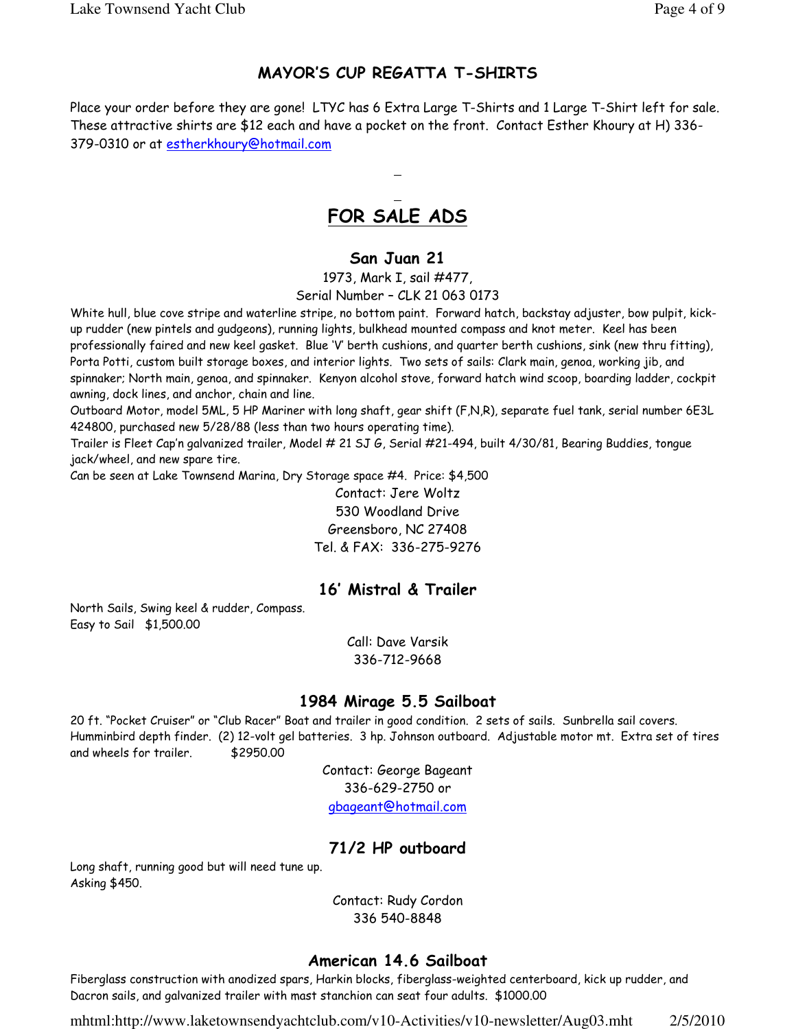## MAYOR'S CUP REGATTA T-SHIRTS

Place your order before they are gone! LTYC has 6 Extra Large T-Shirts and 1 Large T-Shirt left for sale. These attractive shirts are \$12 each and have a pocket on the front. Contact Esther Khoury at H) 336- 379-0310 or at estherkhoury@hotmail.com

# FOR SALE ADS

### San Juan 21

1973, Mark I, sail #477, Serial Number – CLK 21 063 0173

White hull, blue cove stripe and waterline stripe, no bottom paint. Forward hatch, backstay adjuster, bow pulpit, kickup rudder (new pintels and gudgeons), running lights, bulkhead mounted compass and knot meter. Keel has been professionally faired and new keel gasket. Blue 'V' berth cushions, and quarter berth cushions, sink (new thru fitting), Porta Potti, custom built storage boxes, and interior lights. Two sets of sails: Clark main, genoa, working jib, and spinnaker; North main, genoa, and spinnaker. Kenyon alcohol stove, forward hatch wind scoop, boarding ladder, cockpit awning, dock lines, and anchor, chain and line.

Outboard Motor, model 5ML, 5 HP Mariner with long shaft, gear shift (F,N,R), separate fuel tank, serial number 6E3L 424800, purchased new 5/28/88 (less than two hours operating time).

Trailer is Fleet Cap'n galvanized trailer, Model # 21 SJ G, Serial #21-494, built 4/30/81, Bearing Buddies, tongue jack/wheel, and new spare tire.

Can be seen at Lake Townsend Marina, Dry Storage space #4. Price: \$4,500

Contact: Jere Woltz 530 Woodland Drive Greensboro, NC 27408 Tel. & FAX: 336-275-9276

### 16' Mistral & Trailer

North Sails, Swing keel & rudder, Compass. Easy to Sail \$1,500.00

> Call: Dave Varsik 336-712-9668

### 1984 Mirage 5.5 Sailboat

20 ft. "Pocket Cruiser" or "Club Racer" Boat and trailer in good condition. 2 sets of sails. Sunbrella sail covers. Humminbird depth finder. (2) 12-volt gel batteries. 3 hp. Johnson outboard. Adjustable motor mt. Extra set of tires and wheels for trailer. \$2950.00

> Contact: George Bageant 336-629-2750 or gbageant@hotmail.com

## 71/2 HP outboard

Long shaft, running good but will need tune up. Asking \$450.

> Contact: Rudy Cordon 336 540-8848

### American 14.6 Sailboat

Fiberglass construction with anodized spars, Harkin blocks, fiberglass-weighted centerboard, kick up rudder, and Dacron sails, and galvanized trailer with mast stanchion can seat four adults. \$1000.00

mhtml:http://www.laketownsendyachtclub.com/v10-Activities/v10-newsletter/Aug03.mht 2/5/2010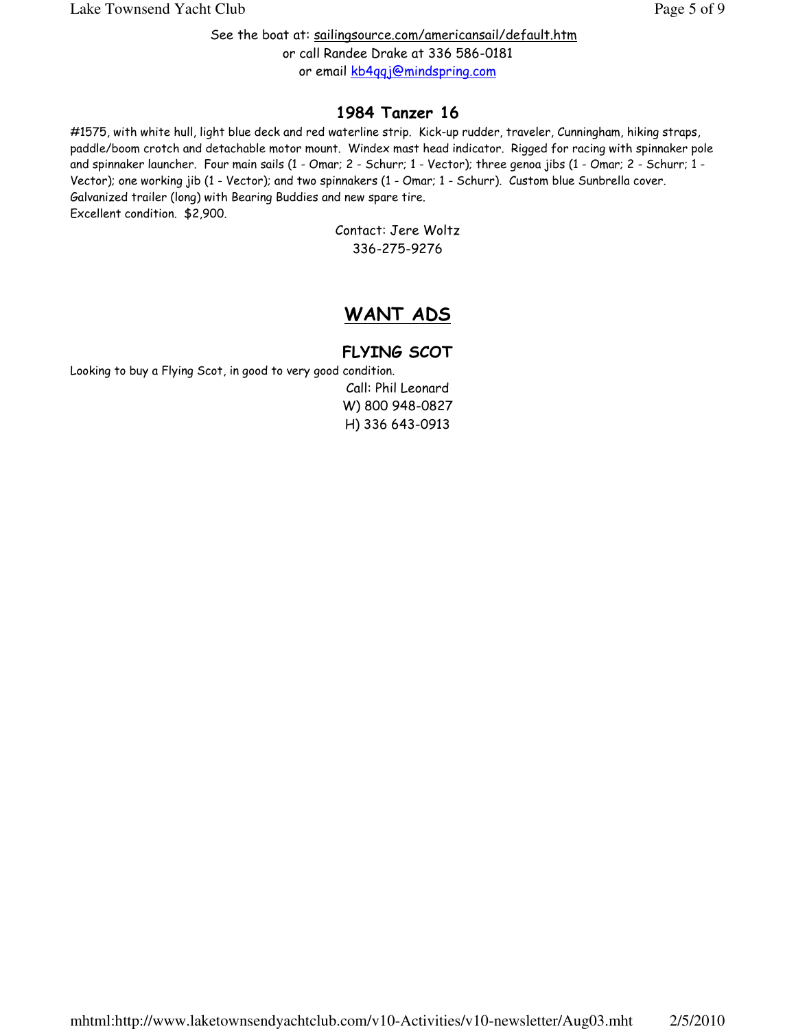See the boat at: sailingsource.com/americansail/default.htm or call Randee Drake at 336 586-0181 or email kb4qqj@mindspring.com

## 1984 Tanzer 16

#1575, with white hull, light blue deck and red waterline strip. Kick-up rudder, traveler, Cunningham, hiking straps, paddle/boom crotch and detachable motor mount. Windex mast head indicator. Rigged for racing with spinnaker pole and spinnaker launcher. Four main sails (1 - Omar; 2 - Schurr; 1 - Vector); three genoa jibs (1 - Omar; 2 - Schurr; 1 - Vector); one working jib (1 - Vector); and two spinnakers (1 - Omar; 1 - Schurr). Custom blue Sunbrella cover. Galvanized trailer (long) with Bearing Buddies and new spare tire. Excellent condition. \$2,900.

Contact: Jere Woltz 336-275-9276

# WANT ADS

# FLYING SCOT

Looking to buy a Flying Scot, in good to very good condition.

Call: Phil Leonard W) 800 948-0827 H) 336 643-0913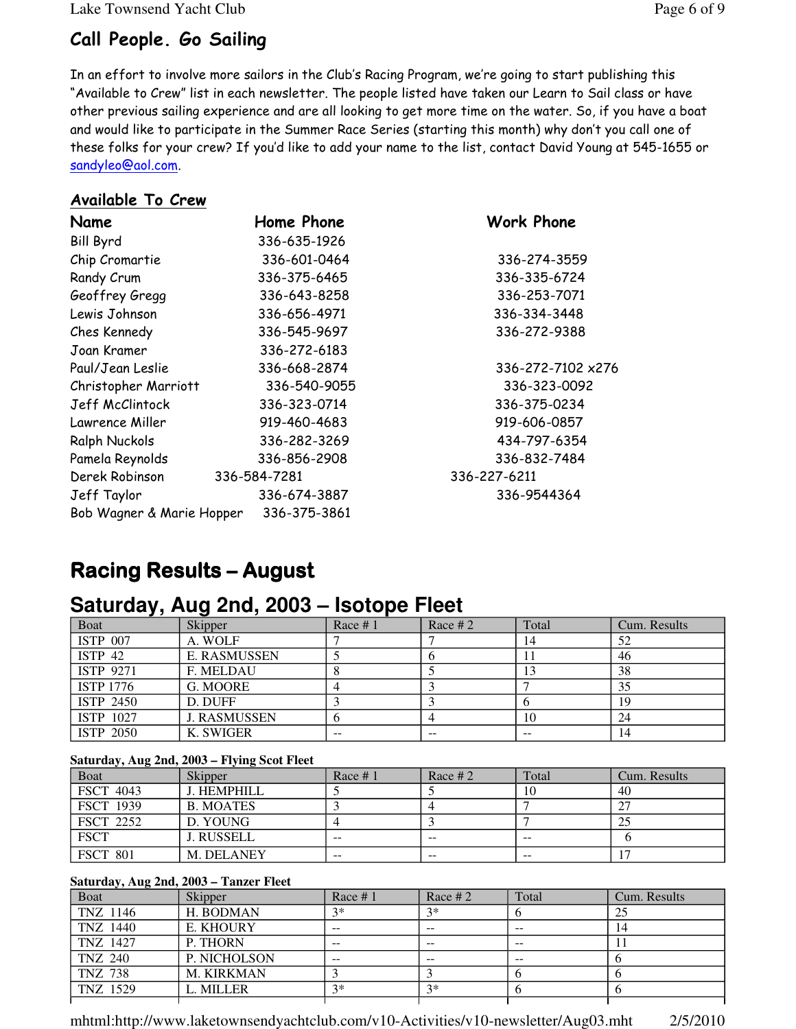Lake Townsend Yacht Club Page 6 of 9

# Call People. Go Sailing

In an effort to involve more sailors in the Club's Racing Program, we're going to start publishing this "Available to Crew" list in each newsletter. The people listed have taken our Learn to Sail class or have other previous sailing experience and are all looking to get more time on the water. So, if you have a boat and would like to participate in the Summer Race Series (starting this month) why don't you call one of these folks for your crew? If you'd like to add your name to the list, contact David Young at 545-1655 or sandyleo@aol.com.

### Available To Crew

| Name                      | Home Phone   | <b>Work Phone</b> |
|---------------------------|--------------|-------------------|
| <b>Bill Byrd</b>          | 336-635-1926 |                   |
| Chip Cromartie            | 336-601-0464 | 336-274-3559      |
| Randy Crum                | 336-375-6465 | 336-335-6724      |
| Geoffrey Gregg            | 336-643-8258 | 336-253-7071      |
| Lewis Johnson             | 336-656-4971 | 336-334-3448      |
| Ches Kennedy              | 336-545-9697 | 336-272-9388      |
| Joan Kramer               | 336-272-6183 |                   |
| Paul/Jean Leslie          | 336-668-2874 | 336-272-7102 x276 |
| Christopher Marriott      | 336-540-9055 | 336-323-0092      |
| Jeff McClintock           | 336-323-0714 | 336-375-0234      |
| Lawrence Miller           | 919-460-4683 | 919-606-0857      |
| Ralph Nuckols             | 336-282-3269 | 434-797-6354      |
| Pamela Reynolds           | 336-856-2908 | 336-832-7484      |
| Derek Robinson            | 336-584-7281 | 336-227-6211      |
| Jeff Taylor               | 336-674-3887 | 336-9544364       |
| Bob Wagner & Marie Hopper | 336-375-3861 |                   |

# Racing Results – Racing Results –August

# **Saturday, Aug 2nd, 2003 – Isotope Fleet**

| - -<br>Boat        | <b>Skipper</b>      | Race $# 1$ | Race $#2$ | Total | Cum. Results |
|--------------------|---------------------|------------|-----------|-------|--------------|
| <b>ISTP 007</b>    | A. WOLF             |            |           | 14    | 52           |
| ISTP <sub>42</sub> | <b>E. RASMUSSEN</b> |            |           |       | 46           |
| <b>ISTP 9271</b>   | F. MELDAU           |            |           | 13    | 38           |
| <b>ISTP 1776</b>   | G. MOORE            |            |           |       | 35           |
| ISTP 2450          | D. DUFF             |            |           |       | 19           |
| ISTP 1027          | <b>J. RASMUSSEN</b> |            |           | 10    | 24           |
| <b>ISTP 2050</b>   | K. SWIGER           | $- -$      | $- -$     | $- -$ | 14           |

### **Saturday, Aug 2nd, 2003 – Flying Scot Fleet**

| <b>Boat</b>      | Skipper          | Race $# 1$    | Race # $2$ | Total         | Cum. Results |
|------------------|------------------|---------------|------------|---------------|--------------|
| <b>FSCT 4043</b> | J. HEMPHILL      |               |            | 10            | 40           |
| <b>FSCT 1939</b> | <b>B. MOATES</b> |               |            |               |              |
| <b>FSCT 2252</b> | D. YOUNG         |               |            |               |              |
| <b>FSCT</b>      | J. RUSSELL       | $- -$         | $- -$      | $- -$         |              |
| <b>FSCT 801</b>  | M. DELANEY       | $\sim$ $\sim$ | $- -$      | $\sim$ $\sim$ |              |

#### **Saturday, Aug 2nd, 2003 – Tanzer Fleet**

| Boat           | <b>Skipper</b>    | Race $# 1$ | Race # $2$ | Total | Cum. Results |
|----------------|-------------------|------------|------------|-------|--------------|
| TNZ 1146       | H. BODMAN         | $2*$       | $3*$       |       | 25           |
| TNZ 1440       | E. KHOURY         | $- -$      | $- -$      | $- -$ | 14           |
| TNZ 1427       | P. THORN          | $- -$      | $- -$      | $- -$ |              |
| TNZ 240        | P. NICHOLSON      | $- -$      | $- -$      | $- -$ |              |
| <b>TNZ 738</b> | <b>M. KIRKMAN</b> |            |            |       |              |
| TNZ 1529       | L. MILLER         | $3*$       | $3*$       |       |              |
|                |                   |            |            |       |              |

mhtml:http://www.laketownsendyachtclub.com/v10-Activities/v10-newsletter/Aug03.mht 2/5/2010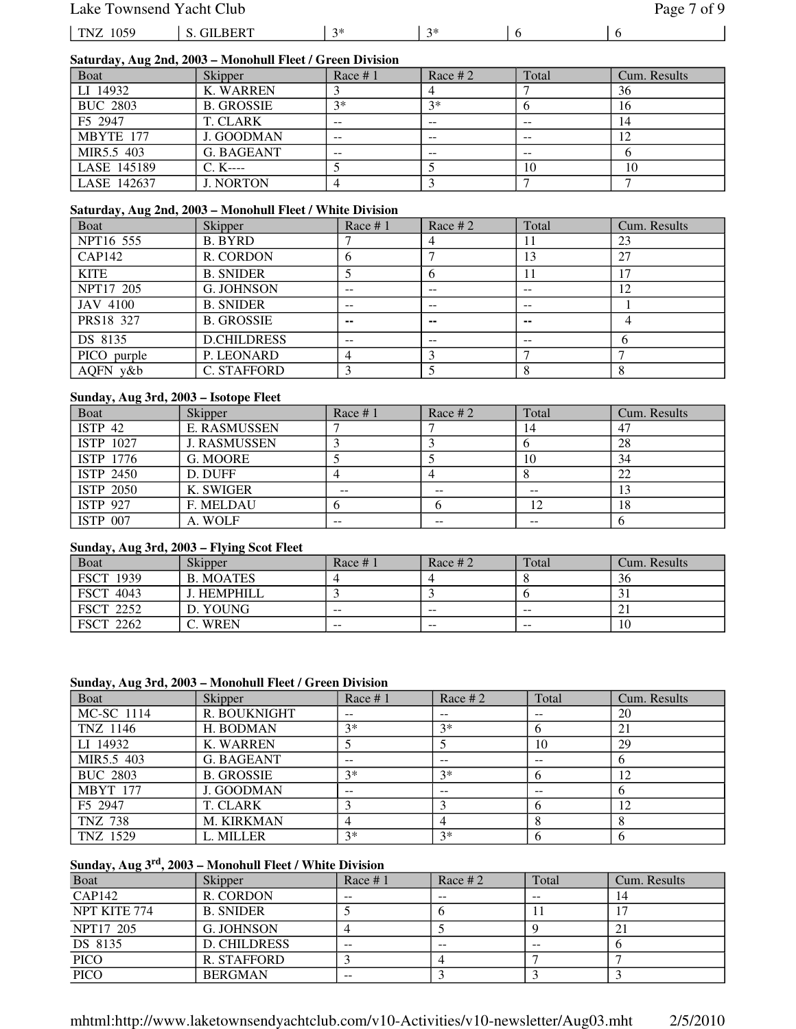### Lake Townsend Yacht Club Page 7 of 9

| 059<br>TN. | דים<br>тI | ماہ ہ<br>$\sim$ | $\sim$ |  |
|------------|-----------|-----------------|--------|--|

### **Saturday, Aug 2nd, 2003 – Monohull Fleet / Green Division**

| $\cdots$<br><b>Boat</b> | <b>Skipper</b>    | Race $# 1$ | Race # $2$ | Total | Cum. Results |
|-------------------------|-------------------|------------|------------|-------|--------------|
| LI 14932                | K. WARREN         |            |            |       | 36           |
| <b>BUC 2803</b>         | <b>B. GROSSIE</b> | $2*$       | $3*$       |       | 16           |
| F <sub>5</sub> 2947     | T. CLARK          | --         | --         | $- -$ | 14           |
| MBYTE 177               | J. GOODMAN        | $- -$      | --         | $- -$ |              |
| MIR5.5 403              | G. BAGEANT        | $-$        | --         | $- -$ |              |
| LASE 145189             | $C. K---$         |            |            | 10    | 10           |
| LASE 142637             | <b>J. NORTON</b>  |            |            |       |              |

#### **Saturday, Aug 2nd, 2003 – Monohull Fleet / White Division**

| Boat            | Skipper            | Race $# 1$     | Race $#2$ | Total | Cum. Results |
|-----------------|--------------------|----------------|-----------|-------|--------------|
| NPT16 555       | <b>B. BYRD</b>     |                |           | 11    | 23           |
| CAP142          | R. CORDON          | 6              |           | 13    | 27           |
| <b>KITE</b>     | <b>B. SNIDER</b>   |                |           | 11    |              |
| NPT17 205       | <b>G. JOHNSON</b>  | $- -$          | --        | $- -$ | 12           |
| <b>JAV 4100</b> | <b>B. SNIDER</b>   | --             | --        | $- -$ |              |
| PRS18 327       | <b>B. GROSSIE</b>  | $\sim$         | --        | $- -$ |              |
| DS 8135         | <b>D.CHILDRESS</b> | --             | --        | $- -$ |              |
| PICO purple     | P. LEONARD         | $\overline{4}$ |           |       |              |
| AQFN y&b        | <b>C. STAFFORD</b> |                |           |       |              |

#### **Sunday, Aug 3rd, 2003 – Isotope Fleet**

| <b>Boat</b>        | Skipper             | Race $# 1$ | Race # $2$ | Total | Cum. Results |
|--------------------|---------------------|------------|------------|-------|--------------|
| ISTP <sub>42</sub> | <b>E. RASMUSSEN</b> |            |            | 14    | 47           |
| ISTP 1027          | <b>J. RASMUSSEN</b> |            |            |       | 28           |
| ISTP 1776          | G. MOORE            |            |            | 10    | 34           |
| ISTP 2450          | D. DUFF             |            |            |       | 22           |
| <b>ISTP 2050</b>   | K. SWIGER           | $- -$      | --         | --    |              |
| <b>ISTP 927</b>    | F. MELDAU           |            |            | 12    | 18           |
| <b>ISTP 007</b>    | A. WOLF             | $- -$      | --         | $- -$ |              |

#### **Sunday, Aug 3rd, 2003 – Flying Scot Fleet**

| <b>B</b> oat     | <b>Skipper</b>   | Race $#1$ | Race # $2$ | Total | Cum. Results |
|------------------|------------------|-----------|------------|-------|--------------|
| <b>FSCT 1939</b> | <b>B. MOATES</b> |           |            |       | 36           |
| <b>FSCT 4043</b> | J. HEMPHILL      |           |            |       |              |
| <b>FSCT 2252</b> | D. YOUNG         | $-$       | $- -$      | $- -$ |              |
| <b>FSCT 2262</b> | WREN             | $- -$     | $- -$      | $- -$ | 10           |

#### **Sunday, Aug 3rd, 2003 – Monohull Fleet / Green Division**

| <b>Boat</b>     | Skipper           | Race $# 1$ | Race $#2$ | Total | Cum. Results |
|-----------------|-------------------|------------|-----------|-------|--------------|
| MC-SC 1114      | R. BOUKNIGHT      |            | $- -$     | --    | 20           |
| TNZ 1146        | H. BODMAN         | $3*$       | $3*$      |       | 21           |
| LI 14932        | <b>K. WARREN</b>  |            |           | 10    | 29           |
| MIR5.5 403      | <b>G. BAGEANT</b> | $- -$      | $- -$     | $- -$ |              |
| <b>BUC 2803</b> | <b>B. GROSSIE</b> | $3*$       | $3*$      |       | 12           |
| <b>MBYT</b> 177 | J. GOODMAN        | $- -$      | $- -$     | $- -$ |              |
| F5 2947         | <b>T. CLARK</b>   |            |           |       | 12           |
| <b>TNZ 738</b>  | <b>M. KIRKMAN</b> |            | 4         |       |              |
| TNZ 1529        | L. MILLER         | $3*$       | $3*$      |       |              |

### **Sunday, Aug 3rd, 2003 – Monohull Fleet / White Division**

| <b>Boat</b>   | <b>Skipper</b>      | Race $#1$ | Race # 2 | Total | Cum. Results   |
|---------------|---------------------|-----------|----------|-------|----------------|
| <b>CAP142</b> | R. CORDON           | $- -$     | --       | --    | 14             |
| NPT KITE 774  | <b>B. SNIDER</b>    |           |          |       |                |
| NPT17 205     | G. JOHNSON          |           |          |       | 2 <sub>1</sub> |
| DS 8135       | <b>D. CHILDRESS</b> | $- -$     | --       | --    |                |
| <b>PICO</b>   | R. STAFFORD         |           |          |       |                |
| PICO          | <b>BERGMAN</b>      | $- -$     |          |       |                |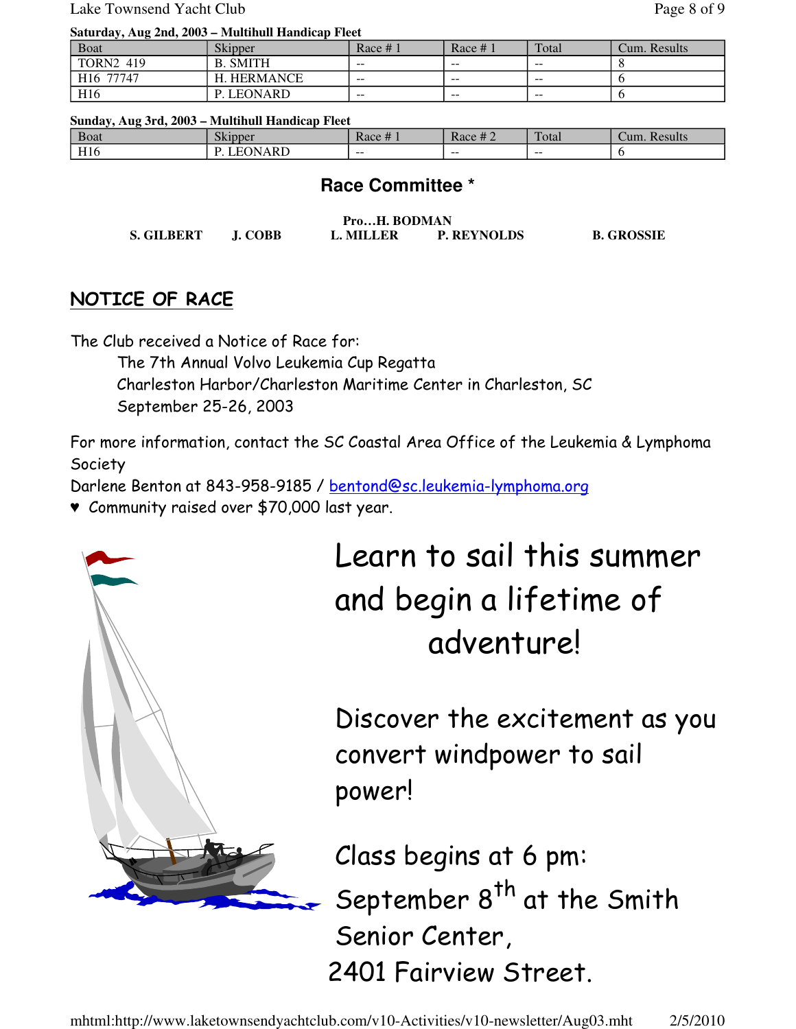Lake Townsend Yacht Club Page 8 of 9

#### **Saturday, Aug 2nd, 2003 – Multihull Handicap Fleet**

| <b>Boat</b>           | <b>Skipper</b>  | Race $#_1$ | Race $#1$ | Total | Cum. Results |
|-----------------------|-----------------|------------|-----------|-------|--------------|
| <b>TORN2 419</b>      | <b>B. SMITH</b> | $- -$      | $- -$     | $- -$ |              |
| H <sub>16</sub> 77747 | . HERMANCE<br>н | $- -$      | $- -$     | $- -$ |              |
| H <sub>16</sub>       | P. LEONARD      | $- -$      | $- -$     | $- -$ |              |

#### **Sunday, Aug 3rd, 2003 – Multihull Handicap Fleet**

| <b>B</b> oat            | $\sim$ 1 | $\cdots$ | $\mathbf{u}$ | $\mathbf{m}$ | Results |
|-------------------------|----------|----------|--------------|--------------|---------|
|                         | Skipper  | Race #   | Race # $2$   | `otal        | ∠um.    |
| TT12<br>H <sub>10</sub> | ARD      | $- -$    | --           | $- -$        |         |

## **Race Committee \***

| ProH. BODMAN      |         |           |                    |                   |  |  |  |
|-------------------|---------|-----------|--------------------|-------------------|--|--|--|
| <b>S. GILBERT</b> | J. COBB | L. MILLER | <b>P. REYNOLDS</b> | <b>B. GROSSIE</b> |  |  |  |

# NOTICE OF RACE

The Club received a Notice of Race for:

The 7th Annual Volvo Leukemia Cup Regatta Charleston Harbor/Charleston Maritime Center in Charleston, SC September 25-26, 2003

For more information, contact the SC Coastal Area Office of the Leukemia & Lymphoma Society

Darlene Benton at 843-958-9185 / bentond@sc.leukemia-lymphoma.org

♥ Community raised over \$70,000 last year.



Learn to sail this summer and begin a lifetime of adventure!

Discover the excitement as you convert windpower to sail power!

Class begins at 6 pm: September 8<sup>th</sup> at the Smith Senior Center, 2401 Fairview Street.